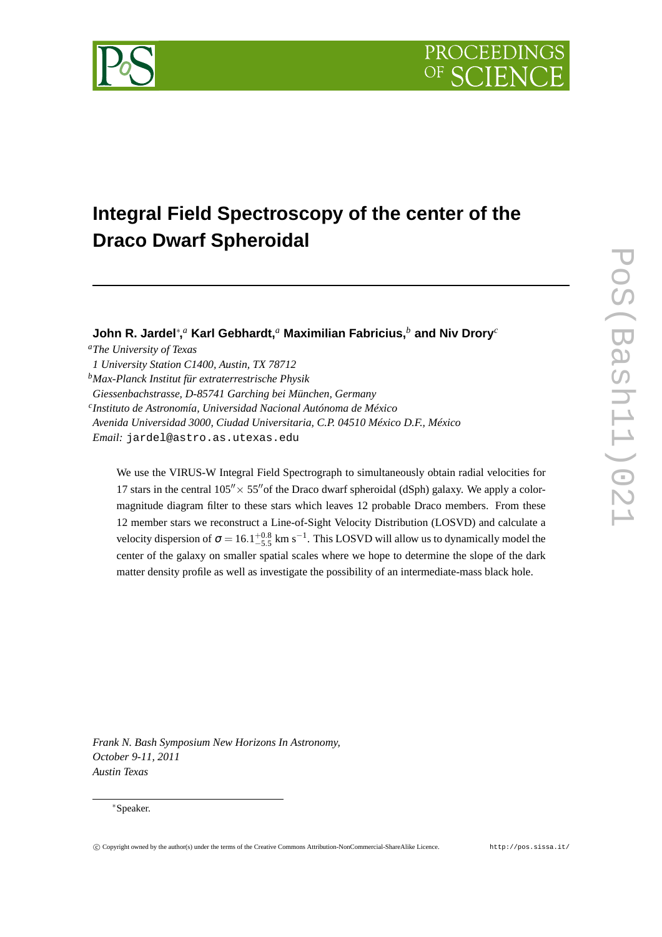



# **Integral Field Spectroscopy of the center of the Draco Dwarf Spheroidal**

**John R. Jardel**<sup>∗</sup> **,** *<sup>a</sup>* **Karl Gebhardt,***<sup>a</sup>* **Maximilian Fabricius,***<sup>b</sup>* **and Niv Drory***<sup>c</sup>*

*<sup>a</sup>The University of Texas 1 University Station C1400, Austin, TX 78712 <sup>b</sup>Max-Planck Institut für extraterrestrische Physik Giessenbachstrasse, D-85741 Garching bei München, Germany c Instituto de Astronomía, Universidad Nacional Autónoma de México Avenida Universidad 3000, Ciudad Universitaria, C.P. 04510 México D.F., México Email:* jardel@astro.as.utexas.edu

We use the VIRUS-W Integral Field Spectrograph to simultaneously obtain radial velocities for 17 stars in the central  $105'' \times 55''$  of the Draco dwarf spheroidal (dSph) galaxy. We apply a colormagnitude diagram filter to these stars which leaves 12 probable Draco members. From these 12 member stars we reconstruct a Line-of-Sight Velocity Distribution (LOSVD) and calculate a velocity dispersion of  $\sigma = 16.1^{+0.8}_{-5.5}$  km s<sup>-1</sup>. This LOSVD will allow us to dynamically model the center of the galaxy on smaller spatial scales where we hope to determine the slope of the dark matter density profile as well as investigate the possibility of an intermediate-mass black hole.

*Frank N. Bash Symposium New Horizons In Astronomy, October 9-11, 2011 Austin Texas*

#### <sup>∗</sup>Speaker.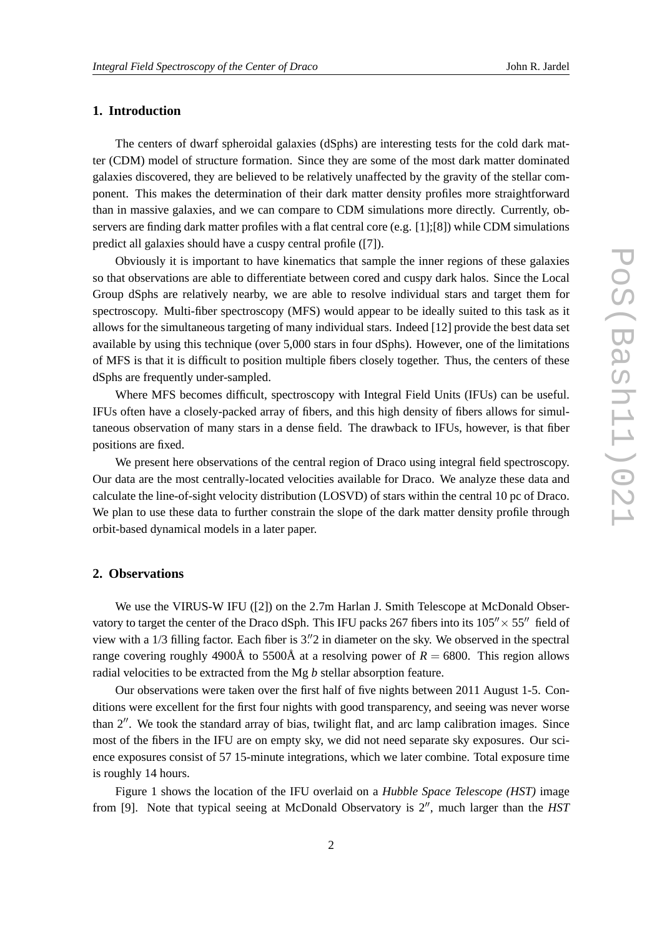## **1. Introduction**

The centers of dwarf spheroidal galaxies (dSphs) are interesting tests for the cold dark matter (CDM) model of structure formation. Since they are some of the most dark matter dominated galaxies discovered, they are believed to be relatively unaffected by the gravity of the stellar component. This makes the determination of their dark matter density profiles more straightforward than in massive galaxies, and we can compare to CDM simulations more directly. Currently, observers are finding dark matter profiles with a flat central core (e.g.  $[1]$ ;[8]) while CDM simulations predict all galaxies should have a cuspy central profile ([7]).

Obviously it is important to have kinematics that sample the inner regions of these galaxies so that observations are able to differentiate between cored and cuspy dark halos. Since the Local Group dSphs are relatively nearby, we are able to resolve individual stars and target them for spectroscopy. Multi-fiber spectroscopy (MFS) would appear to be ideally suited to this task as it allows for the simultaneous targeting of many individual stars. Indeed [12] provide the best data set available by using this technique (over 5,000 stars in four dSphs). However, one of the limitations of MFS is that it is difficult to position multiple fibers closely together. Thus, the centers of these dSphs are frequently under-sampled.

Where MFS becomes difficult, spectroscopy with Integral Field Units (IFUs) can be useful. IFUs often have a closely-packed array of fibers, and this high density of fibers allows for simultaneous observation of many stars in a dense field. The drawback to IFUs, however, is that fiber positions are fixed.

We present here observations of the central region of Draco using integral field spectroscopy. Our data are the most centrally-located velocities available for Draco. We analyze these data and calculate the line-of-sight velocity distribution (LOSVD) of stars within the central 10 pc of Draco. We plan to use these data to further constrain the slope of the dark matter density profile through orbit-based dynamical models in a later paper.

#### **2. Observations**

We use the VIRUS-W IFU ([2]) on the 2.7m Harlan J. Smith Telescope at McDonald Observatory to target the center of the Draco dSph. This IFU packs 267 fibers into its  $105'' \times 55''$  field of view with a 1/3 filling factor. Each fiber is  $3\rlap{.}''2$  in diameter on the sky. We observed in the spectral range covering roughly 4900Å to 5500Å at a resolving power of  $R = 6800$ . This region allows radial velocities to be extracted from the Mg *b* stellar absorption feature.

Our observations were taken over the first half of five nights between 2011 August 1-5. Conditions were excellent for the first four nights with good transparency, and seeing was never worse than 2′′. We took the standard array of bias, twilight flat, and arc lamp calibration images. Since most of the fibers in the IFU are on empty sky, we did not need separate sky exposures. Our science exposures consist of 57 15-minute integrations, which we later combine. Total exposure time is roughly 14 hours.

Figure 1 shows the location of the IFU overlaid on a *Hubble Space Telescope (HST)* image from [9]. Note that typical seeing at McDonald Observatory is 2′′, much larger than the *HST*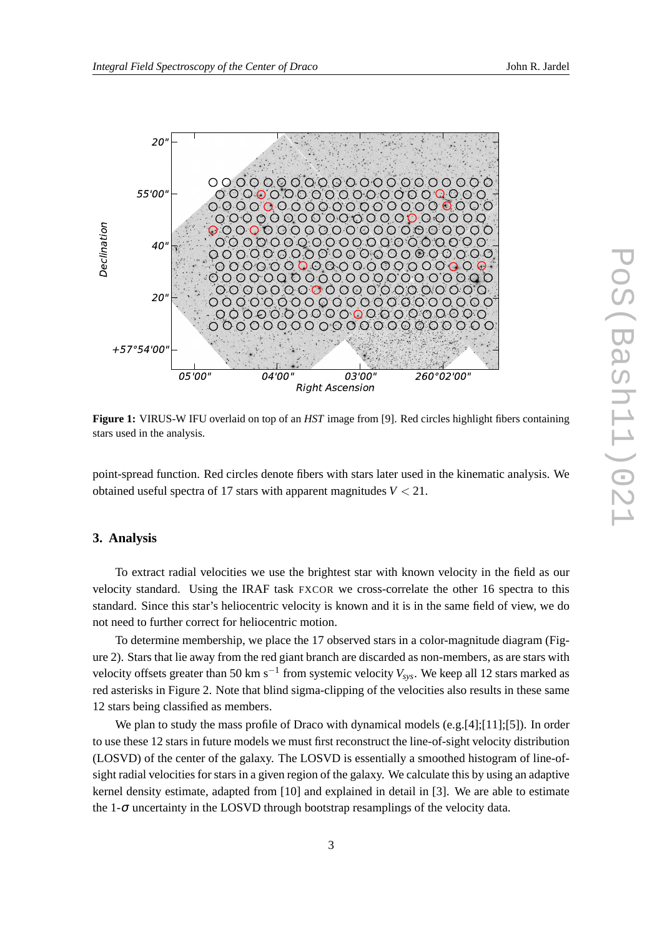

**Figure 1:** VIRUS-W IFU overlaid on top of an *HST* image from [9]. Red circles highlight fibers containing stars used in the analysis.

point-spread function. Red circles denote fibers with stars later used in the kinematic analysis. We obtained useful spectra of 17 stars with apparent magnitudes *V* < 21.

## **3. Analysis**

To extract radial velocities we use the brightest star with known velocity in the field as our velocity standard. Using the IRAF task FXCOR we cross-correlate the other 16 spectra to this standard. Since this star's heliocentric velocity is known and it is in the same field of view, we do not need to further correct for heliocentric motion.

To determine membership, we place the 17 observed stars in a color-magnitude diagram (Figure 2). Stars that lie away from the red giant branch are discarded as non-members, as are stars with velocity offsets greater than 50 km s−<sup>1</sup> from systemic velocity *Vsys*. We keep all 12 stars marked as red asterisks in Figure 2. Note that blind sigma-clipping of the velocities also results in these same 12 stars being classified as members.

We plan to study the mass profile of Draco with dynamical models (e.g.[4];[11];[5]). In order to use these 12 stars in future models we must first reconstruct the line-of-sight velocity distribution (LOSVD) of the center of the galaxy. The LOSVD is essentially a smoothed histogram of line-ofsight radial velocities for stars in a given region of the galaxy. We calculate this by using an adaptive kernel density estimate, adapted from [10] and explained in detail in [3]. We are able to estimate the 1-<sup>σ</sup> uncertainty in the LOSVD through bootstrap resamplings of the velocity data.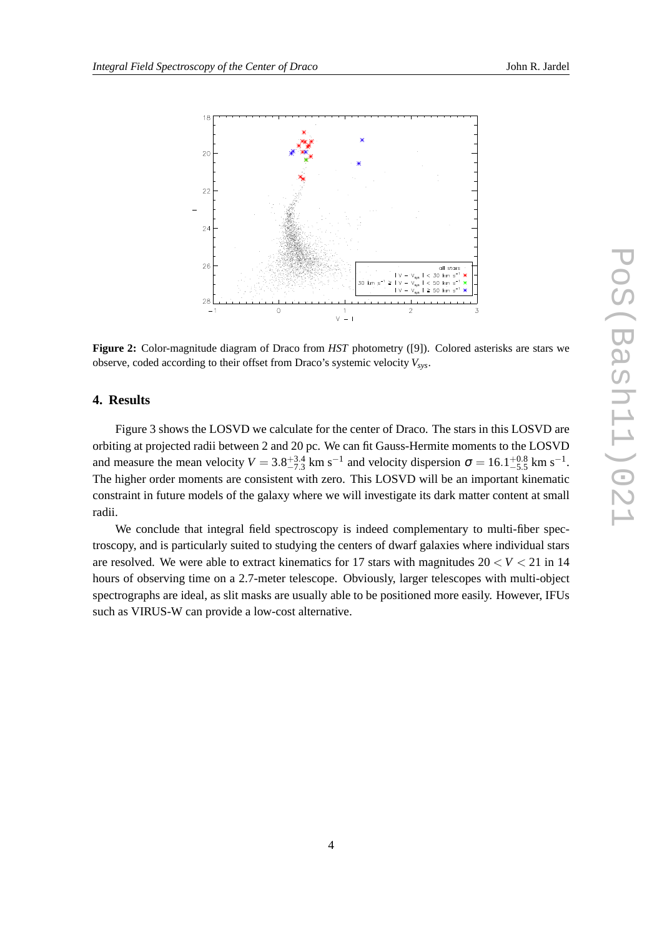

**Figure 2:** Color-magnitude diagram of Draco from *HST* photometry ([9]). Colored asterisks are stars we observe, coded according to their offset from Draco's systemic velocity *Vsys*.

## **4. Results**

Figure 3 shows the LOSVD we calculate for the center of Draco. The stars in this LOSVD are orbiting at projected radii between 2 and 20 pc. We can fit Gauss-Hermite moments to the LOSVD and measure the mean velocity  $V = 3.8^{+3.4}_{-7.3}$  km s<sup>-1</sup> and velocity dispersion  $\sigma = 16.1^{+0.8}_{-5.5}$  km s<sup>-1</sup>. The higher order moments are consistent with zero. This LOSVD will be an important kinematic constraint in future models of the galaxy where we will investigate its dark matter content at small radii.

We conclude that integral field spectroscopy is indeed complementary to multi-fiber spectroscopy, and is particularly suited to studying the centers of dwarf galaxies where individual stars are resolved. We were able to extract kinematics for 17 stars with magnitudes  $20 < V < 21$  in 14 hours of observing time on a 2.7-meter telescope. Obviously, larger telescopes with multi-object spectrographs are ideal, as slit masks are usually able to be positioned more easily. However, IFUs such as VIRUS-W can provide a low-cost alternative.